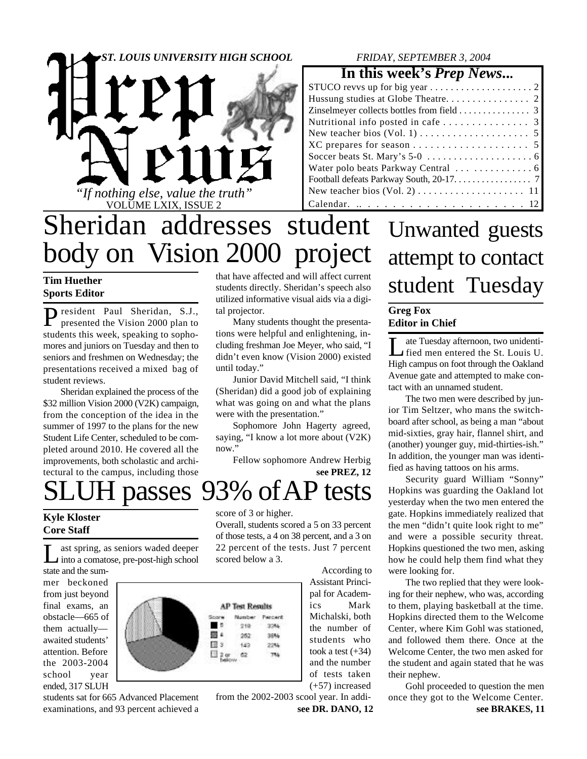

### *FRIDAY, SEPTEMBER 3, 2004*

### **In this week's** *Prep News***...**

| STUCO reves up for big year $\dots \dots \dots \dots \dots \dots$       |
|-------------------------------------------------------------------------|
|                                                                         |
| Zinselmeyer collects bottles from field $\ldots \ldots \ldots \ldots$ 3 |
| Nutritional info posted in cafe $\ldots \ldots \ldots \ldots$ 3         |
|                                                                         |
|                                                                         |
|                                                                         |
|                                                                         |
|                                                                         |
|                                                                         |
|                                                                         |

# Sheridan addresses student body on Vision 2000 project

### **Tim Huether Sports Editor**

P resident Paul Sheridan, S.J.,<br>presented the Vision 2000 plan to presented the Vision 2000 plan to students this week, speaking to sophomores and juniors on Tuesday and then to seniors and freshmen on Wednesday; the presentations received a mixed bag of student reviews.

Sheridan explained the process of the \$32 million Vision 2000 (V2K) campaign, from the conception of the idea in the summer of 1997 to the plans for the new Student Life Center, scheduled to be completed around 2010. He covered all the improvements, both scholastic and architectural to the campus, including those

that have affected and will affect current students directly. Sheridan's speech also utilized informative visual aids via a digital projector.

Many students thought the presentations were helpful and enlightening, including freshman Joe Meyer, who said, "I didn't even know (Vision 2000) existed until today."

Junior David Mitchell said, "I think (Sheridan) did a good job of explaining what was going on and what the plans were with the presentation."

Sophomore John Hagerty agreed, saying, "I know a lot more about (V2K) now."

**see PREZ, 12** Fellow sophomore Andrew Herbig

H passes 93% of AP tests

### **Kyle Kloster Core Staff**

L ast spring, as seniors waded deeper<br>into a comatose, pre-post-high school ast spring, as seniors waded deeper

state and the summer beckoned from just beyond final exams, an obstacle—665 of them actually awaited students' attention. Before the 2003-2004 school year ended, 317 SLUH



students sat for 665 Advanced Placement examinations, and 93 percent achieved a score of 3 or higher.

Overall, students scored a 5 on 33 percent of those tests, a 4 on 38 percent, and a 3 on 22 percent of the tests. Just 7 percent scored below a 3.

> Percent 3254

> > 39%

22%

7%

 According to Assistant Principal for Academics Mark Michalski, both the number of students who took a test  $(+34)$ and the number of tests taken (+57) increased

from the 2002-2003 scool year. In addi**see DR. DANO, 12**

# Unwanted guests attempt to contact student Tuesday

### **Greg Fox Editor in Chief**

 $\prod_{\ldots}$ ate Tuesday afternoon, two unidentified men entered the St. Louis U. High campus on foot through the Oakland Avenue gate and attempted to make contact with an unnamed student.

The two men were described by junior Tim Seltzer, who mans the switchboard after school, as being a man "about mid-sixties, gray hair, flannel shirt, and (another) younger guy, mid-thirties-ish." In addition, the younger man was identified as having tattoos on his arms.

Security guard William "Sonny" Hopkins was guarding the Oakland lot yesterday when the two men entered the gate. Hopkins immediately realized that the men "didn't quite look right to me" and were a possible security threat. Hopkins questioned the two men, asking how he could help them find what they were looking for.

The two replied that they were looking for their nephew, who was, according to them, playing basketball at the time. Hopkins directed them to the Welcome Center, where Kim Gohl was stationed, and followed them there. Once at the Welcome Center, the two men asked for the student and again stated that he was their nephew.

Gohl proceeded to question the men once they got to the Welcome Center.

**see BRAKES, 11**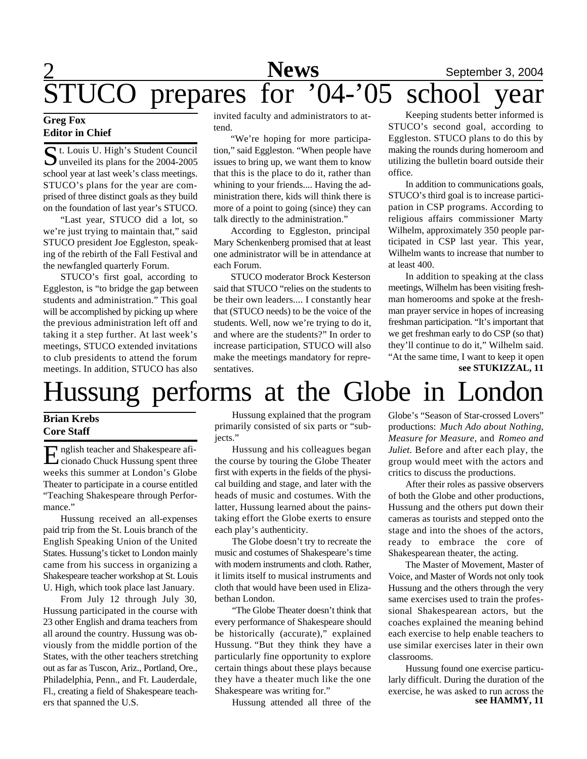### 2 **News** September 3, 2004<br>For '04-'05 school year STUCO prepares for '04-'05 school year

### **Greg Fox Editor in Chief**

Student Council<br>
Sunveiled its plans for the 2004-2005  $\Box$  unveiled its plans for the 2004-2005 school year at last week's class meetings. STUCO's plans for the year are comprised of three distinct goals as they build on the foundation of last year's STUCO.

"Last year, STUCO did a lot, so we're just trying to maintain that," said STUCO president Joe Eggleston, speaking of the rebirth of the Fall Festival and the newfangled quarterly Forum.

STUCO's first goal, according to Eggleston, is "to bridge the gap between students and administration." This goal will be accomplished by picking up where the previous administration left off and taking it a step further. At last week's meetings, STUCO extended invitations to club presidents to attend the forum meetings. In addition, STUCO has also

invited faculty and administrators to attend.

"We're hoping for more participation," said Eggleston. "When people have issues to bring up, we want them to know that this is the place to do it, rather than whining to your friends.... Having the administration there, kids will think there is more of a point to going (since) they can talk directly to the administration."

According to Eggleston, principal Mary Schenkenberg promised that at least one administrator will be in attendance at each Forum.

STUCO moderator Brock Kesterson said that STUCO "relies on the students to be their own leaders.... I constantly hear that (STUCO needs) to be the voice of the students. Well, now we're trying to do it, and where are the students?" In order to increase participation, STUCO will also make the meetings mandatory for representatives.

Keeping students better informed is STUCO's second goal, according to Eggleston. STUCO plans to do this by making the rounds during homeroom and utilizing the bulletin board outside their office.

In addition to communications goals, STUCO's third goal is to increase participation in CSP programs. According to religious affairs commissioner Marty Wilhelm, approximately 350 people participated in CSP last year. This year, Wilhelm wants to increase that number to at least 400.

In addition to speaking at the class meetings, Wilhelm has been visiting freshman homerooms and spoke at the freshman prayer service in hopes of increasing freshman participation. "It's important that we get freshman early to do CSP (so that) they'll continue to do it," Wilhelm said. "At the same time, I want to keep it open **see STUKIZZAL, 11**

# Hussung performs at the Globe in Londe

### **Brian Krebs Core Staff**

 $E$ nglish teacher and Shakespeare afi-<br>Cionado Chuck Hussung spent three cionado Chuck Hussung spent three weeks this summer at London's Globe Theater to participate in a course entitled "Teaching Shakespeare through Performance."

Hussung received an all-expenses paid trip from the St. Louis branch of the English Speaking Union of the United States. Hussung's ticket to London mainly came from his success in organizing a Shakespeare teacher workshop at St. Louis U. High, which took place last January.

From July 12 through July 30, Hussung participated in the course with 23 other English and drama teachers from all around the country. Hussung was obviously from the middle portion of the States, with the other teachers stretching out as far as Tuscon, Ariz., Portland, Ore., Philadelphia, Penn., and Ft. Lauderdale, Fl., creating a field of Shakespeare teachers that spanned the U.S.

Hussung explained that the program primarily consisted of six parts or "subjects."

Hussung and his colleagues began the course by touring the Globe Theater first with experts in the fields of the physical building and stage, and later with the heads of music and costumes. With the latter, Hussung learned about the painstaking effort the Globe exerts to ensure each play's authenticity.

The Globe doesn't try to recreate the music and costumes of Shakespeare's time with modern instruments and cloth. Rather, it limits itself to musical instruments and cloth that would have been used in Elizabethan London.

"The Globe Theater doesn't think that every performance of Shakespeare should be historically (accurate)," explained Hussung. "But they think they have a particularly fine opportunity to explore certain things about these plays because they have a theater much like the one Shakespeare was writing for."

Hussung attended all three of the

Globe's "Season of Star-crossed Lovers" productions: *Much Ado about Nothing*, *Measure for Measure*, and *Romeo and Juliet*. Before and after each play, the group would meet with the actors and critics to discuss the productions.

After their roles as passive observers of both the Globe and other productions, Hussung and the others put down their cameras as tourists and stepped onto the stage and into the shoes of the actors, ready to embrace the core of Shakespearean theater, the acting.

The Master of Movement, Master of Voice, and Master of Words not only took Hussung and the others through the very same exercises used to train the professional Shakespearean actors, but the coaches explained the meaning behind each exercise to help enable teachers to use similar exercises later in their own classrooms.

Hussung found one exercise particularly difficult. During the duration of the exercise, he was asked to run across the **see HAMMY, 11**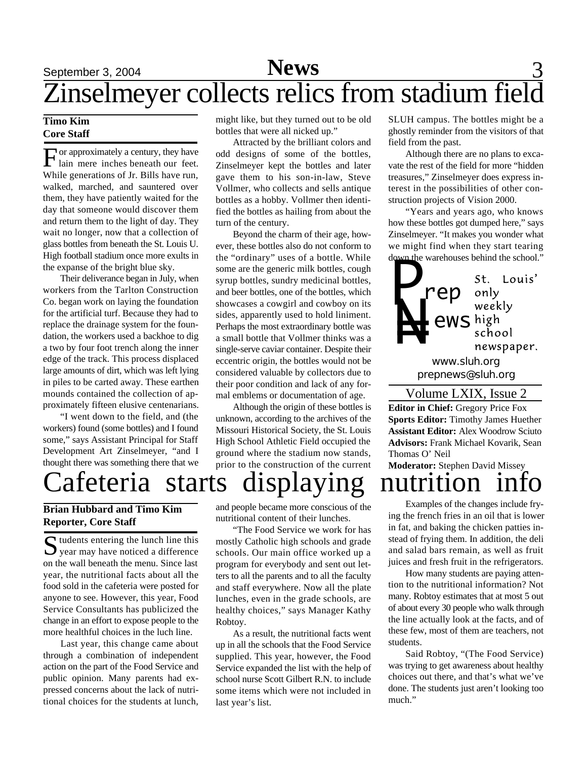### September 3, 2004 **News** 3 Zinselmeyer collects relics from stadium field **News**

### **Timo Kim Core Staff**

For approximately a century, they have<br>lain mere inches beneath our feet. or approximately a century, they have While generations of Jr. Bills have run, walked, marched, and sauntered over them, they have patiently waited for the day that someone would discover them and return them to the light of day. They wait no longer, now that a collection of glass bottles from beneath the St. Louis U. High football stadium once more exults in the expanse of the bright blue sky.

Their deliverance began in July, when workers from the Tarlton Construction Co. began work on laying the foundation for the artificial turf. Because they had to replace the drainage system for the foundation, the workers used a backhoe to dig a two by four foot trench along the inner edge of the track. This process displaced large amounts of dirt, which was left lying in piles to be carted away. These earthen mounds contained the collection of approximately fifteen elusive centenarians.

"I went down to the field, and (the workers) found (some bottles) and I found some," says Assistant Principal for Staff Development Art Zinselmeyer, "and I thought there was something there that we might like, but they turned out to be old bottles that were all nicked up."

Attracted by the brilliant colors and odd designs of some of the bottles, Zinselmeyer kept the bottles and later gave them to his son-in-law, Steve Vollmer, who collects and sells antique bottles as a hobby. Vollmer then identified the bottles as hailing from about the turn of the century.

Beyond the charm of their age, however, these bottles also do not conform to the "ordinary" uses of a bottle. While some are the generic milk bottles, cough syrup bottles, sundry medicinal bottles, and beer bottles, one of the bottles, which showcases a cowgirl and cowboy on its sides, apparently used to hold liniment. Perhaps the most extraordinary bottle was a small bottle that Vollmer thinks was a single-serve caviar container. Despite their eccentric origin, the bottles would not be considered valuable by collectors due to their poor condition and lack of any formal emblems or documentation of age.

Although the origin of these bottles is unknown, according to the archives of the Missouri Historical Society, the St. Louis High School Athletic Field occupied the ground where the stadium now stands, prior to the construction of the current

SLUH campus. The bottles might be a ghostly reminder from the visitors of that field from the past.

Although there are no plans to excavate the rest of the field for more "hidden treasures," Zinselmeyer does express interest in the possibilities of other construction projects of Vision 2000.

"Years and years ago, who knows how these bottles got dumped here," says Zinselmeyer. "It makes you wonder what we might find when they start tearing down the warehouses behind the school."



**Editor in Chief:** Gregory Price Fox **Sports Editor:** Timothy James Huether **Assistant Editor:** Alex Woodrow Sciuto **Advisors:** Frank Michael Kovarik, Sean Thomas O' Neil

**Moderator:** Stephen David Missey

# afeteria starts displaying nutrition

### **Brian Hubbard and Timo Kim Reporter, Core Staff**

S tudents entering the lunch line this<br>year may have noticed a difference  $\sum$  tudents entering the lunch line this on the wall beneath the menu. Since last year, the nutritional facts about all the food sold in the cafeteria were posted for anyone to see. However, this year, Food Service Consultants has publicized the change in an effort to expose people to the more healthful choices in the luch line.

Last year, this change came about through a combination of independent action on the part of the Food Service and public opinion. Many parents had expressed concerns about the lack of nutritional choices for the students at lunch, and people became more conscious of the nutritional content of their lunches.

"The Food Service we work for has mostly Catholic high schools and grade schools. Our main office worked up a program for everybody and sent out letters to all the parents and to all the faculty and staff everywhere. Now all the plate lunches, even in the grade schools, are healthy choices," says Manager Kathy Robtoy.

As a result, the nutritional facts went up in all the schools that the Food Service supplied. This year, however, the Food Service expanded the list with the help of school nurse Scott Gilbert R.N. to include some items which were not included in last year's list.

Examples of the changes include frying the french fries in an oil that is lower in fat, and baking the chicken patties instead of frying them. In addition, the deli and salad bars remain, as well as fruit juices and fresh fruit in the refrigerators.

How many students are paying attention to the nutritional information? Not many. Robtoy estimates that at most 5 out of about every 30 people who walk through the line actually look at the facts, and of these few, most of them are teachers, not students.

Said Robtoy, "(The Food Service) was trying to get awareness about healthy choices out there, and that's what we've done. The students just aren't looking too much."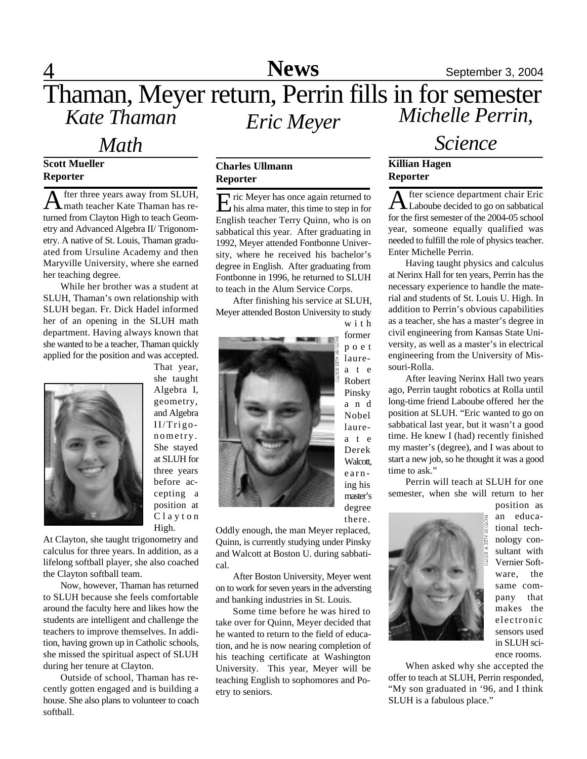### 4 **Sports News** September 3, 2004 **News**

### Thaman, Meyer return, Perrin fills in for semester *Kate Thaman Eric Meyer Michelle Perrin,*

### *Math*

### **Scott Mueller Reporter**

A fter three years away from SLUH,<br> **A** math teacher Kate Thaman has refter three years away from SLUH, turned from Clayton High to teach Geometry and Advanced Algebra II/ Trigonometry. A native of St. Louis, Thaman graduated from Ursuline Academy and then Maryville University, where she earned her teaching degree.

While her brother was a student at SLUH, Thaman's own relationship with SLUH began. Fr. Dick Hadel informed her of an opening in the SLUH math department. Having always known that she wanted to be a teacher, Thaman quickly applied for the position and was accepted.



Algebra I, geometry, and Algebra II/Trigonometry. She stayed at SLUH for three years before accepting a position at C l a y t o n High.

That year, she taught

At Clayton, she taught trigonometry and calculus for three years. In addition, as a lifelong softball player, she also coached the Clayton softball team.

Now, however, Thaman has returned to SLUH because she feels comfortable around the faculty here and likes how the students are intelligent and challenge the teachers to improve themselves. In addition, having grown up in Catholic schools, she missed the spiritual aspect of SLUH during her tenure at Clayton.

Outside of school, Thaman has recently gotten engaged and is building a house. She also plans to volunteer to coach softball.

### **Charles Ullmann Reporter**

E ric Meyer has once again returned to<br>his alma mater, this time to step in for  $\Gamma$  ric Meyer has once again returned to English teacher Terry Quinn, who is on sabbatical this year. After graduating in 1992, Meyer attended Fontbonne University, where he received his bachelor's degree in English. After graduating from Fontbonne in 1996, he returned to SLUH to teach in the Alum Service Corps.

After finishing his service at SLUH, Meyer attended Boston University to study w i t h



Oddly enough, the man Meyer replaced, Quinn, is currently studying under Pinsky and Walcott at Boston U. during sabbatical.

After Boston University, Meyer went on to work for seven years in the adversting and banking industries in St. Louis.

Some time before he was hired to take over for Quinn, Meyer decided that he wanted to return to the field of education, and he is now nearing completion of his teaching certificate at Washington University. This year, Meyer will be teaching English to sophomores and Poetry to seniors.

### *Science*

### **Killian Hagen Reporter**

A fter science department chair Eric<br>Laboube decided to go on sabbatical fter science department chair Eric for the first semester of the 2004-05 school year, someone equally qualified was needed to fulfill the role of physics teacher. Enter Michelle Perrin.

Having taught physics and calculus at Nerinx Hall for ten years, Perrin has the necessary experience to handle the material and students of St. Louis U. High. In addition to Perrin's obvious capabilities as a teacher, she has a master's degree in civil engineering from Kansas State University, as well as a master's in electrical engineering from the University of Missouri-Rolla.

After leaving Nerinx Hall two years ago, Perrin taught robotics at Rolla until long-time friend Laboube offered her the position at SLUH. "Eric wanted to go on sabbatical last year, but it wasn't a good time. He knew I (had) recently finished my master's (degree), and I was about to start a new job, so he thought it was a good time to ask."

Perrin will teach at SLUH for one semester, when she will return to her



position as an educational technology consultant with Vernier Software, the same company that makes the electronic sensors used in SLUH science rooms.

When asked why she accepted the offer to teach at SLUH, Perrin responded, "My son graduated in '96, and I think SLUH is a fabulous place."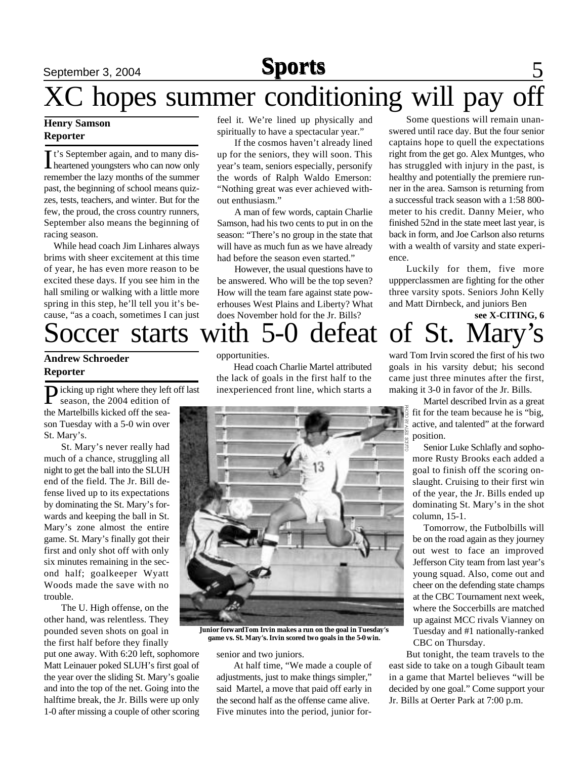# XC hopes summer conditioning will pay off

### **Henry Samson Reporter**

It's September again, and to many dis-<br>heartened youngsters who can now only t's September again, and to many disremember the lazy months of the summer past, the beginning of school means quizzes, tests, teachers, and winter. But for the few, the proud, the cross country runners, September also means the beginning of racing season.

While head coach Jim Linhares always brims with sheer excitement at this time of year, he has even more reason to be excited these days. If you see him in the hall smiling or walking with a little more spring in this step, he'll tell you it's because, "as a coach, sometimes I can just feel it. We're lined up physically and spiritually to have a spectacular year."

If the cosmos haven't already lined up for the seniors, they will soon. This year's team, seniors especially, personify the words of Ralph Waldo Emerson: "Nothing great was ever achieved without enthusiasm."

A man of few words, captain Charlie Samson, had his two cents to put in on the season: "There's no group in the state that will have as much fun as we have already had before the season even started."

However, the usual questions have to be answered. Who will be the top seven? How will the team fare against state powerhouses West Plains and Liberty? What does November hold for the Jr. Bills?

Some questions will remain unanswered until race day. But the four senior captains hope to quell the expectations right from the get go. Alex Muntges, who has struggled with injury in the past, is healthy and potentially the premiere runner in the area. Samson is returning from a successful track season with a 1:58 800 meter to his credit. Danny Meier, who finished 52nd in the state meet last year, is back in form, and Joe Carlson also returns with a wealth of varsity and state experience.

Luckily for them, five more uppperclassmen are fighting for the other three varsity spots. Seniors John Kelly and Matt Dirnbeck, and juniors Ben **see X-CITING, 6**

# Soccer starts with 5-0 defeat of St. Mary's

### **Andrew Schroeder Reporter**

Picking up right where they left off last<br>season, the 2004 edition of season, the 2004 edition of the Martelbills kicked off the season Tuesday with a 5-0 win over St. Mary's.

St. Mary's never really had much of a chance, struggling all night to get the ball into the SLUH end of the field. The Jr. Bill defense lived up to its expectations by dominating the St. Mary's forwards and keeping the ball in St. Mary's zone almost the entire game. St. Mary's finally got their first and only shot off with only six minutes remaining in the second half; goalkeeper Wyatt Woods made the save with no trouble.

The U. High offense, on the other hand, was relentless. They pounded seven shots on goal in the first half before they finally

put one away. With 6:20 left, sophomore Matt Leinauer poked SLUH's first goal of the year over the sliding St. Mary's goalie and into the top of the net. Going into the halftime break, the Jr. Bills were up only 1-0 after missing a couple of other scoring

### opportunities.

Head coach Charlie Martel attributed the lack of goals in the first half to the inexperienced front line, which starts a



**Junior forwardTom Irvin makes a run on the goal in Tuesday's game vs. St. Mary's. Irvin scored two goals in the 5-0 win.**

senior and two juniors.

At half time, "We made a couple of adjustments, just to make things simpler," said Martel, a move that paid off early in the second half as the offense came alive. Five minutes into the period, junior forward Tom Irvin scored the first of his two goals in his varsity debut; his second came just three minutes after the first, making it 3-0 in favor of the Jr. Bills.

Martel described Irvin as a great fit for the team because he is "big, active, and talented" at the forward position.

Senior Luke Schlafly and sophomore Rusty Brooks each added a goal to finish off the scoring onslaught. Cruising to their first win of the year, the Jr. Bills ended up dominating St. Mary's in the shot column, 15-1.

Tomorrow, the Futbolbills will be on the road again as they journey out west to face an improved Jefferson City team from last year's young squad. Also, come out and cheer on the defending state champs at the CBC Tournament next week, where the Soccerbills are matched up against MCC rivals Vianney on Tuesday and #1 nationally-ranked CBC on Thursday.

But tonight, the team travels to the east side to take on a tough Gibault team in a game that Martel believes "will be decided by one goal." Come support your Jr. Bills at Oerter Park at 7:00 p.m.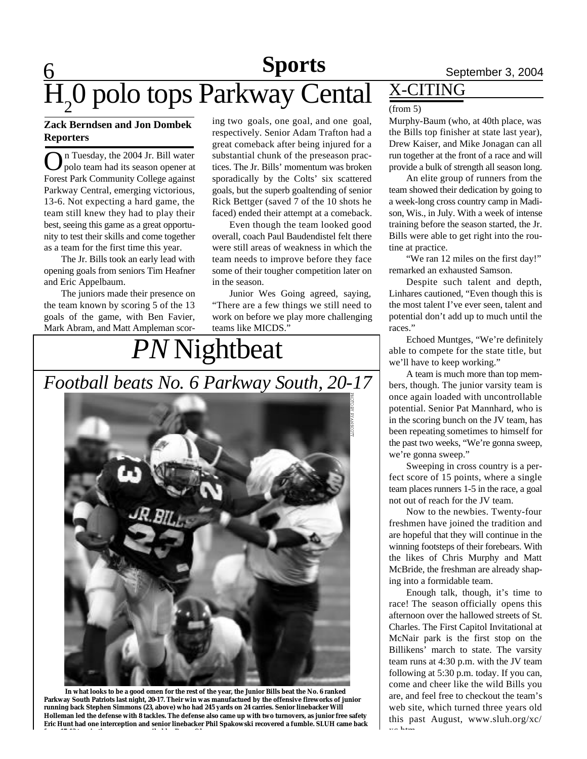## **Sports**

# **6** Sports September 3, 2004  $H_2$ O polo tops Parkway Cental  $\frac{X-CITING}{(from 5)}$

### **Zack Berndsen and Jon Dombek Reporters**

On Tuesday, the 2004 Jr. Bill water<br>polo team had its season opener at n Tuesday, the 2004 Jr. Bill water Forest Park Community College against Parkway Central, emerging victorious, 13-6. Not expecting a hard game, the team still knew they had to play their best, seeing this game as a great opportunity to test their skills and come together as a team for the first time this year.

The Jr. Bills took an early lead with opening goals from seniors Tim Heafner and Eric Appelbaum.

The juniors made their presence on the team known by scoring 5 of the 13 goals of the game, with Ben Favier, Mark Abram, and Matt Ampleman scoring two goals, one goal, and one goal, respectively. Senior Adam Trafton had a great comeback after being injured for a substantial chunk of the preseason practices. The Jr. Bills' momentum was broken sporadically by the Colts' six scattered goals, but the superb goaltending of senior Rick Bettger (saved 7 of the 10 shots he faced) ended their attempt at a comeback.

Even though the team looked good overall, coach Paul Baudendistel felt there were still areas of weakness in which the team needs to improve before they face some of their tougher competition later on in the season.

Junior Wes Going agreed, saying, "There are a few things we still need to work on before we play more challenging teams like MICDS."

# *PN* Nightbeat *Football beats No. 6 Parkway South, 20-17*



 **In what looks to be a good omen for the rest of the year, the Junior Bills beat the No. 6 ranked Parkway South Patriots last night, 20-17. Their win was manufactued by the offensive fireworks of junior running back Stephen Simmons (23, above) who had 245 yards on 24 carries. Senior linebacker Will Holleman led the defense with 8 tackles. The defense also came up with two turnovers, as junior free safety Eric Hunt had one interception and senior linebacker Phil Spakowski recovered a fumble. SLUH came back**

**from 17-13 to win the game. —compiled by Bryan Glaenzer**

### (from 5)

Murphy-Baum (who, at 40th place, was the Bills top finisher at state last year), Drew Kaiser, and Mike Jonagan can all run together at the front of a race and will provide a bulk of strength all season long.

An elite group of runners from the team showed their dedication by going to a week-long cross country camp in Madison, Wis., in July. With a week of intense training before the season started, the Jr. Bills were able to get right into the routine at practice.

"We ran 12 miles on the first day!" remarked an exhausted Samson.

Despite such talent and depth, Linhares cautioned, "Even though this is the most talent I've ever seen, talent and potential don't add up to much until the races."

Echoed Muntges, "We're definitely able to compete for the state title, but we'll have to keep working."

A team is much more than top members, though. The junior varsity team is once again loaded with uncontrollable potential. Senior Pat Mannhard, who is in the scoring bunch on the JV team, has been repeating sometimes to himself for the past two weeks, "We're gonna sweep, we're gonna sweep."

Sweeping in cross country is a perfect score of 15 points, where a single team places runners 1-5 in the race, a goal not out of reach for the JV team.

Now to the newbies. Twenty-four freshmen have joined the tradition and are hopeful that they will continue in the winning footsteps of their forebears. With the likes of Chris Murphy and Matt McBride, the freshman are already shaping into a formidable team.

Enough talk, though, it's time to race! The season officially opens this afternoon over the hallowed streets of St. Charles. The First Capitol Invitational at McNair park is the first stop on the Billikens' march to state. The varsity team runs at 4:30 p.m. with the JV team following at 5:30 p.m. today. If you can, come and cheer like the wild Bills you are, and feel free to checkout the team's web site, which turned three years old this past August, www.sluh.org/xc/  $\sim$  htm.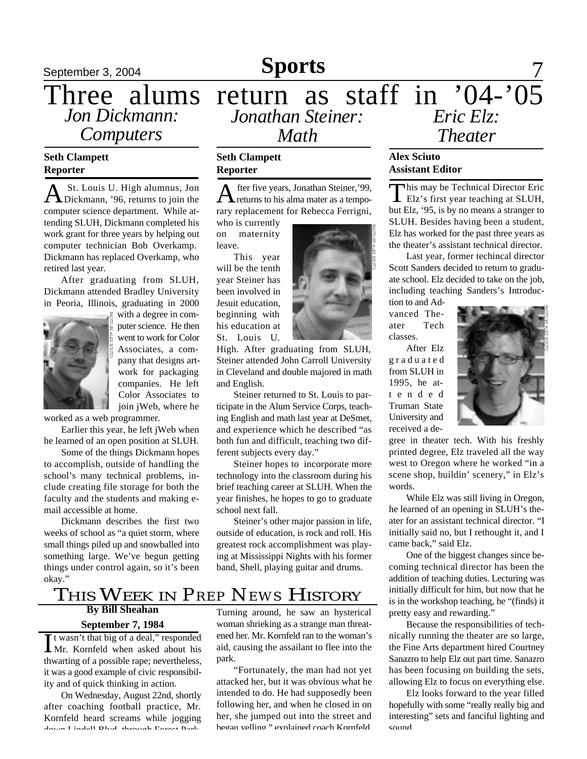*Computers*

### **Seth Clampett Reporter**

A St. Louis U. High alumnus, Jon<br>Dickmann, '96, returns to join the St. Louis U. High alumnus, Jon computer science department. While attending SLUH, Dickmann completed his work grant for three years by helping out computer technician Bob Overkamp. Dickmann has replaced Overkamp, who retired last year.

After graduating from SLUH, Dickmann attended Bradley University in Peoria, Illinois, graduating in 2000



with a degree in computer science. He then went to work for Color Associates, a company that designs artwork for packaging companies. He left Color Associates to join jWeb, where he

worked as a web programmer.

Earlier this year, he left jWeb when he learned of an open position at SLUH.

Some of the things Dickmann hopes to accomplish, outside of handling the school's many technical problems, include creating file storage for both the faculty and the students and making email accessible at home.

Dickmann describes the first two weeks of school as "a quiet storm, where small things piled up and snowballed into something large. We've begun getting things under control again, so it's been okay."

### September 3, 2004 **Sports** 7 Three alums return as staff in '04-'05 *Jonathan Steiner: Jon Dickmann: Math Eric Elz: Theater*

### **Seth Clampett Reporter**

A fter five years, Jonathan Steiner, '99,<br>returns to his alma mater as a tempofter five years, Jonathan Steiner,'99, rary replacement for Rebecca Ferrigni,

who is currently on maternity leave.

This year will be the tenth year Steiner has been involved in Jesuit education, beginning with his education at St. Louis U.

High. After graduating from SLUH, Steiner attended John Carroll University in Cleveland and double majored in math and English.

Steiner returned to St. Louis to participate in the Alum Service Corps, teaching English and math last year at DeSmet, and experience which he described "as both fun and difficult, teaching two different subjects every day."

Steiner hopes to incorporate more technology into the classroom during his brief teaching career at SLUH. When the year finishes, he hopes to go to graduate school next fall.

Steiner's other major passion in life, outside of education, is rock and roll. His greatest rock accomplishment was playing at Mississippi Nights with his former band, Shell, playing guitar and drums.



### **Alex Sciuto Assistant Editor**

This may be Technical Director Eric<br>Elz's first year teaching at SLUH, **This may be Technical Director Eric** but Elz, '95, is by no means a stranger to SLUH. Besides having been a student, Elz has worked for the past three years as the theater's assistant technical director.

Last year, former techincal director Scott Sanders decided to return to graduate school. Elz decided to take on the job, including teaching Sanders's Introduc-

tion to and Advanced Theater Tech classes.

After Elz g r a d u a t e d from SLUH in 1995, he att e n d e d Truman State University and received a de-



gree in theater tech. With his freshly printed degree, Elz traveled all the way west to Oregon where he worked "in a scene shop, buildin' scenery," in Elz's words.

While Elz was still living in Oregon, he learned of an opening in SLUH's theater for an assistant technical director. "I initially said no, but I rethought it, and I came back," said Elz.

One of the biggest changes since becoming technical director has been the addition of teaching duties. Lecturing was initially difficult for him, but now that he is in the workshop teaching, he "(finds) it pretty easy and rewarding."

Because the responsibilities of technically running the theater are so large, the Fine Arts department hired Courtney Sanazro to help Elz out part time. Sanazro has been focusing on building the sets, allowing Elz to focus on everything else.

Elz looks forward to the year filled hopefully with some "really really big and interesting" sets and fanciful lighting and sound.

### THIS WEEK IN *PREP NEWS* HISTORY

### **By Bill Sheahan September 7, 1984**

It wasn't that big of a deal," responded<br>Mr. Kornfeld when asked about his It wasn't that big of a deal," responded thwarting of a possible rape; nevertheless, it was a good example of civic responsibility and of quick thinking in action.

On Wednesday, August 22nd, shortly after coaching football practice, Mr. Kornfeld heard screams while jogging down Lindell Blvd. through Forest Park.

Turning around, he saw an hysterical woman shrieking as a strange man threatened her. Mr. Kornfeld ran to the woman's aid, causing the assailant to flee into the park.

"Fortunately, the man had not yet attacked her, but it was obvious what he intended to do. He had supposedly been following her, and when he closed in on her, she jumped out into the street and began yelling," explained coach Kornfeld.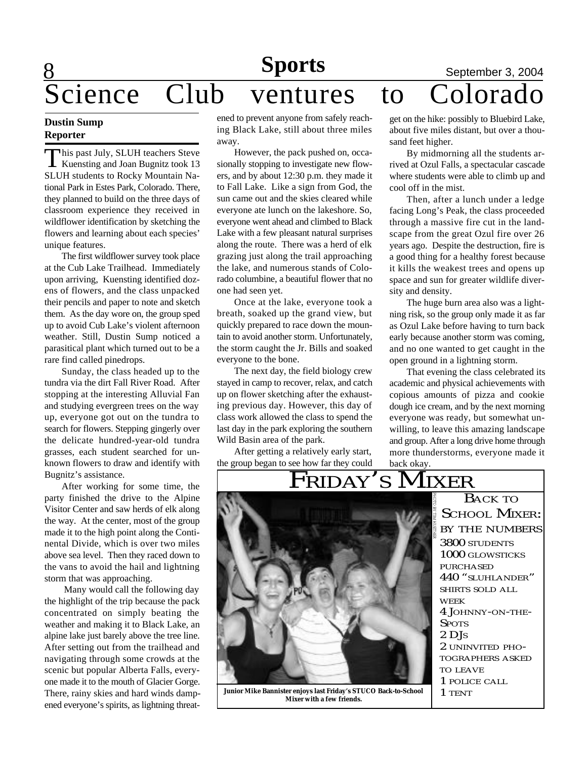# 8  $S$ cience Club ventures to

### **Dustin Sump Reporter**

This past July, SLUH teachers Steve<br>Kuensting and Joan Bugnitz took 13 his past July, SLUH teachers Steve SLUH students to Rocky Mountain National Park in Estes Park, Colorado. There, they planned to build on the three days of classroom experience they received in wildflower identification by sketching the flowers and learning about each species' unique features.

The first wildflower survey took place at the Cub Lake Trailhead. Immediately upon arriving, Kuensting identified dozens of flowers, and the class unpacked their pencils and paper to note and sketch them. As the day wore on, the group sped up to avoid Cub Lake's violent afternoon weather. Still, Dustin Sump noticed a parasitical plant which turned out to be a rare find called pinedrops.

Sunday, the class headed up to the tundra via the dirt Fall River Road. After stopping at the interesting Alluvial Fan and studying evergreen trees on the way up, everyone got out on the tundra to search for flowers. Stepping gingerly over the delicate hundred-year-old tundra grasses, each student searched for unknown flowers to draw and identify with Bugnitz's assistance.

After working for some time, the party finished the drive to the Alpine Visitor Center and saw herds of elk along the way. At the center, most of the group made it to the high point along the Continental Divide, which is over two miles above sea level. Then they raced down to the vans to avoid the hail and lightning storm that was approaching.

 Many would call the following day the highlight of the trip because the pack concentrated on simply beating the weather and making it to Black Lake, an alpine lake just barely above the tree line. After setting out from the trailhead and navigating through some crowds at the scenic but popular Alberta Falls, everyone made it to the mouth of Glacier Gorge. There, rainy skies and hard winds dampened everyone's spirits, as lightning threat-

# **Sports**<br> **Nentures to Colorado**

ened to prevent anyone from safely reaching Black Lake, still about three miles away.

However, the pack pushed on, occasionally stopping to investigate new flowers, and by about 12:30 p.m. they made it to Fall Lake. Like a sign from God, the sun came out and the skies cleared while everyone ate lunch on the lakeshore. So, everyone went ahead and climbed to Black Lake with a few pleasant natural surprises along the route. There was a herd of elk grazing just along the trail approaching the lake, and numerous stands of Colorado columbine, a beautiful flower that no one had seen yet.

Once at the lake, everyone took a breath, soaked up the grand view, but quickly prepared to race down the mountain to avoid another storm. Unfortunately, the storm caught the Jr. Bills and soaked everyone to the bone.

The next day, the field biology crew stayed in camp to recover, relax, and catch up on flower sketching after the exhausting previous day. However, this day of class work allowed the class to spend the last day in the park exploring the southern Wild Basin area of the park.

After getting a relatively early start, the group began to see how far they could get on the hike: possibly to Bluebird Lake, about five miles distant, but over a thousand feet higher.

By midmorning all the students arrived at Ozul Falls, a spectacular cascade where students were able to climb up and cool off in the mist.

Then, after a lunch under a ledge facing Long's Peak, the class proceeded through a massive fire cut in the landscape from the great Ozul fire over 26 years ago. Despite the destruction, fire is a good thing for a healthy forest because it kills the weakest trees and opens up space and sun for greater wildlife diversity and density.

The huge burn area also was a lightning risk, so the group only made it as far as Ozul Lake before having to turn back early because another storm was coming, and no one wanted to get caught in the open ground in a lightning storm.

That evening the class celebrated its academic and physical achievements with copious amounts of pizza and cookie dough ice cream, and by the next morning everyone was ready, but somewhat unwilling, to leave this amazing landscape and group. After a long drive home through more thunderstorms, everyone made it back okay.



**Junior Mike Bannister enjoys last Friday's STUCO Back-to-School Mixer with a few friends.**

BACK TO SCHOOL MIXER: BY THE NUMBERS 3800 STUDENTS 1000 GLOWSTICKS PURCHASED 440 "SLUHLANDER" SHIRTS SOLD ALL WEEK 4 JOHNNY-ON-THE-**SPOTS** 2 DJ<sup>S</sup> 2 UNINVITED PHO-TOGRAPHERS ASKED TO LEAVE 1 POLICE CALL 1 TENT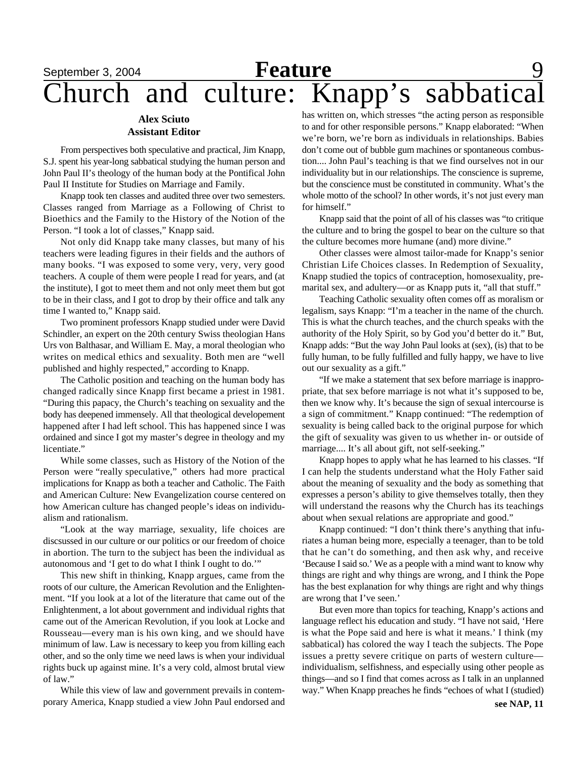# **September 3, 2004 Feature** 9 Church and culture: Knapp's sabbatical

### **Alex Sciuto Assistant Editor**

From perspectives both speculative and practical, Jim Knapp, S.J. spent his year-long sabbatical studying the human person and John Paul II's theology of the human body at the Pontifical John Paul II Institute for Studies on Marriage and Family.

Knapp took ten classes and audited three over two semesters. Classes ranged from Marriage as a Following of Christ to Bioethics and the Family to the History of the Notion of the Person. "I took a lot of classes," Knapp said.

Not only did Knapp take many classes, but many of his teachers were leading figures in their fields and the authors of many books. "I was exposed to some very, very, very good teachers. A couple of them were people I read for years, and (at the institute), I got to meet them and not only meet them but got to be in their class, and I got to drop by their office and talk any time I wanted to," Knapp said.

Two prominent professors Knapp studied under were David Schindler, an expert on the 20th century Swiss theologian Hans Urs von Balthasar, and William E. May, a moral theologian who writes on medical ethics and sexuality. Both men are "well published and highly respected," according to Knapp.

The Catholic position and teaching on the human body has changed radically since Knapp first became a priest in 1981. "During this papacy, the Church's teaching on sexuality and the body has deepened immensely. All that theological developement happened after I had left school. This has happened since I was ordained and since I got my master's degree in theology and my licentiate."

While some classes, such as History of the Notion of the Person were "really speculative," others had more practical implications for Knapp as both a teacher and Catholic. The Faith and American Culture: New Evangelization course centered on how American culture has changed people's ideas on individualism and rationalism.

"Look at the way marriage, sexuality, life choices are discsussed in our culture or our politics or our freedom of choice in abortion. The turn to the subject has been the individual as autonomous and 'I get to do what I think I ought to do.'"

This new shift in thinking, Knapp argues, came from the roots of our culture, the American Revolution and the Enlightenment. "If you look at a lot of the literature that came out of the Enlightenment, a lot about government and individual rights that came out of the American Revolution, if you look at Locke and Rousseau—every man is his own king, and we should have minimum of law. Law is necessary to keep you from killing each other, and so the only time we need laws is when your individual rights buck up against mine. It's a very cold, almost brutal view of law."

While this view of law and government prevails in contemporary America, Knapp studied a view John Paul endorsed and has written on, which stresses "the acting person as responsible to and for other responsible persons." Knapp elaborated: "When we're born, we're born as individuals in relationships. Babies don't come out of bubble gum machines or spontaneous combustion.... John Paul's teaching is that we find ourselves not in our individuality but in our relationships. The conscience is supreme, but the conscience must be constituted in community. What's the whole motto of the school? In other words, it's not just every man for himself."

Knapp said that the point of all of his classes was "to critique the culture and to bring the gospel to bear on the culture so that the culture becomes more humane (and) more divine."

Other classes were almost tailor-made for Knapp's senior Christian Life Choices classes. In Redemption of Sexuality, Knapp studied the topics of contraception, homosexuality, premarital sex, and adultery—or as Knapp puts it, "all that stuff."

Teaching Catholic sexuality often comes off as moralism or legalism, says Knapp: "I'm a teacher in the name of the church. This is what the church teaches, and the church speaks with the authority of the Holy Spirit, so by God you'd better do it." But, Knapp adds: "But the way John Paul looks at (sex), (is) that to be fully human, to be fully fulfilled and fully happy, we have to live out our sexuality as a gift."

"If we make a statement that sex before marriage is inappropriate, that sex before marriage is not what it's supposed to be, then we know why. It's because the sign of sexual intercourse is a sign of commitment." Knapp continued: "The redemption of sexuality is being called back to the original purpose for which the gift of sexuality was given to us whether in- or outside of marriage.... It's all about gift, not self-seeking."

Knapp hopes to apply what he has learned to his classes. "If I can help the students understand what the Holy Father said about the meaning of sexuality and the body as something that expresses a person's ability to give themselves totally, then they will understand the reasons why the Church has its teachings about when sexual relations are appropriate and good."

Knapp continued: "I don't think there's anything that infuriates a human being more, especially a teenager, than to be told that he can't do something, and then ask why, and receive 'Because I said so.' We as a people with a mind want to know why things are right and why things are wrong, and I think the Pope has the best explanation for why things are right and why things are wrong that I've seen.'

But even more than topics for teaching, Knapp's actions and language reflect his education and study. "I have not said, 'Here is what the Pope said and here is what it means.' I think (my sabbatical) has colored the way I teach the subjects. The Pope issues a pretty severe critique on parts of western culture individualism, selfishness, and especially using other people as things—and so I find that comes across as I talk in an unplanned way." When Knapp preaches he finds "echoes of what I (studied)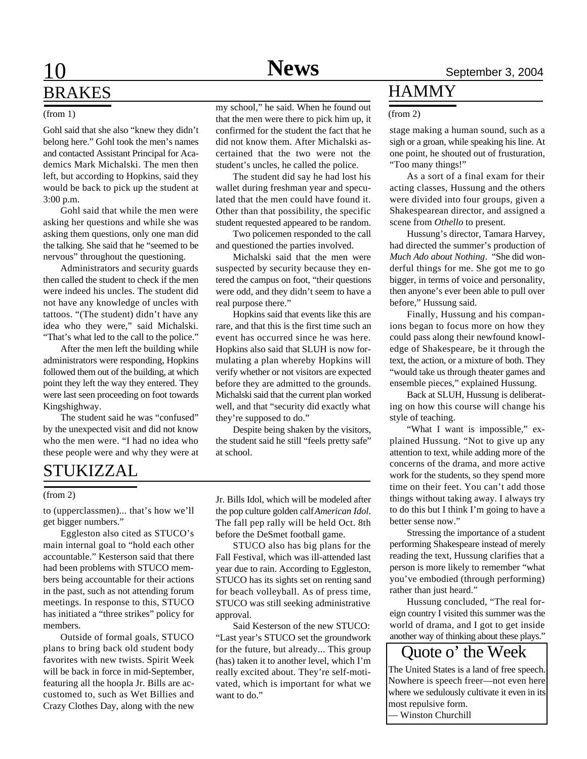# 10 **Sports News** September 3, 2004 BRAKES

#### (from 1)

Gohl said that she also "knew they didn't belong here." Gohl took the men's names and contacted Assistant Principal for Academics Mark Michalski. The men then left, but according to Hopkins, said they would be back to pick up the student at 3:00 p.m.

Gohl said that while the men were asking her questions and while she was asking them questions, only one man did the talking. She said that he "seemed to be nervous" throughout the questioning.

Administrators and security guards then called the student to check if the men were indeed his uncles. The student did not have any knowledge of uncles with tattoos. "(The student) didn't have any idea who they were," said Michalski. "That's what led to the call to the police."

After the men left the building while administrators were responding, Hopkins followed them out of the building, at which point they left the way they entered. They were last seen proceeding on foot towards Kingshighway.

The student said he was "confused" by the unexpected visit and did not know who the men were. "I had no idea who these people were and why they were at

# STUKIZZAL

#### (from 2)

to (upperclassmen)... that's how we'll get bigger numbers."

Eggleston also cited as STUCO's main internal goal to "hold each other accountable." Kesterson said that there had been problems with STUCO members being accountable for their actions in the past, such as not attending forum meetings. In response to this, STUCO has initiated a "three strikes" policy for members.

Outside of formal goals, STUCO plans to bring back old student body favorites with new twists. Spirit Week will be back in force in mid-September, featuring all the hoopla Jr. Bills are accustomed to, such as Wet Billies and Crazy Clothes Day, along with the new

my school," he said. When he found out that the men were there to pick him up, it confirmed for the student the fact that he did not know them. After Michalski ascertained that the two were not the student's uncles, he called the police.

The student did say he had lost his wallet during freshman year and speculated that the men could have found it. Other than that possibility, the specific student requested appeared to be random.

Two policemen responded to the call and questioned the parties involved.

Michalski said that the men were suspected by security because they entered the campus on foot, "their questions were odd, and they didn't seem to have a real purpose there."

Hopkins said that events like this are rare, and that this is the first time such an event has occurred since he was here. Hopkins also said that SLUH is now formulating a plan whereby Hopkins will verify whether or not visitors are expected before they are admitted to the grounds. Michalski said that the current plan worked well, and that "security did exactly what they're supposed to do."

Despite being shaken by the visitors, the student said he still "feels pretty safe" at school.

Jr. Bills Idol, which will be modeled after the pop culture golden calf *American Idol*. The fall pep rally will be held Oct. 8th before the DeSmet football game.

STUCO also has big plans for the Fall Festival, which was ill-attended last year due to rain. According to Eggleston, STUCO has its sights set on renting sand for beach volleyball. As of press time, STUCO was still seeking administrative approval.

Said Kesterson of the new STUCO: "Last year's STUCO set the groundwork for the future, but already... This group (has) taken it to another level, which I'm really excited about. They're self-motivated, which is important for what we want to do."

### **HAMMY**

#### (from 2)

stage making a human sound, such as a sigh or a groan, while speaking his line. At one point, he shouted out of frusturation, "Too many things!"

As a sort of a final exam for their acting classes, Hussung and the others were divided into four groups, given a Shakespearean director, and assigned a scene from *Othello* to present.

Hussung's director, Tamara Harvey, had directed the summer's production of *Much Ado about Nothing*. "She did wonderful things for me. She got me to go bigger, in terms of voice and personality, then anyone's ever been able to pull over before," Hussung said.

Finally, Hussung and his companions began to focus more on how they could pass along their newfound knowledge of Shakespeare, be it through the text, the action, or a mixture of both. They "would take us through theater games and ensemble pieces," explained Hussung.

Back at SLUH, Hussung is deliberating on how this course will change his style of teaching.

"What I want is impossible," explained Hussung. "Not to give up any attention to text, while adding more of the concerns of the drama, and more active work for the students, so they spend more time on their feet. You can't add those things without taking away. I always try to do this but I think I'm going to have a better sense now."

Stressing the importance of a student performing Shakespeare instead of merely reading the text, Hussung clarifies that a person is more likely to remember "what you've embodied (through performing) rather than just heard."

Hussung concluded, "The real foreign country I visited this summer was the world of drama, and I got to get inside another way of thinking about these plays."

The United States is a land of free speech. Nowhere is speech freer—not even here where we sedulously cultivate it even in its most repulsive form. — Winston Churchill Quote o' the Week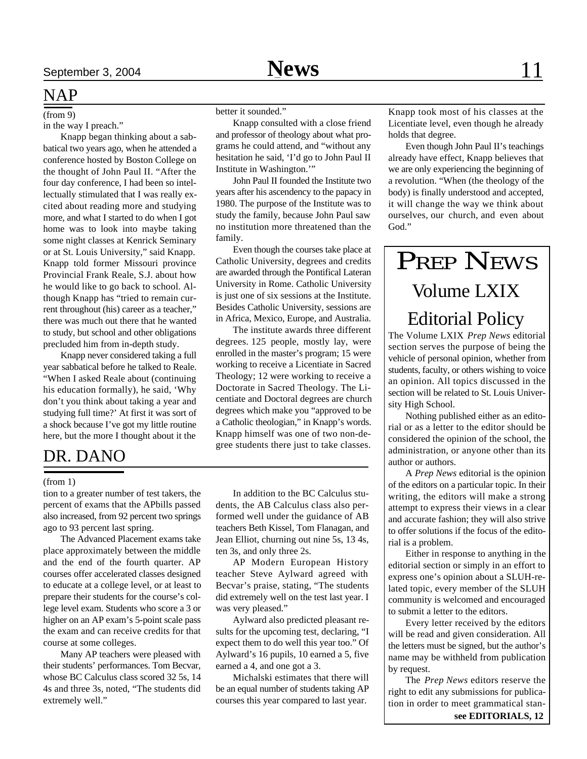### NAP

(from 9)

in the way I preach."

Knapp began thinking about a sabbatical two years ago, when he attended a conference hosted by Boston College on the thought of John Paul II. "After the four day conference, I had been so intellectually stimulated that I was really excited about reading more and studying more, and what I started to do when I got home was to look into maybe taking some night classes at Kenrick Seminary or at St. Louis University," said Knapp. Knapp told former Missouri province Provincial Frank Reale, S.J. about how he would like to go back to school. Although Knapp has "tried to remain current throughout (his) career as a teacher," there was much out there that he wanted to study, but school and other obligations precluded him from in-depth study.

Knapp never considered taking a full year sabbatical before he talked to Reale. "When I asked Reale about (continuing his education formally), he said, 'Why don't you think about taking a year and studying full time?' At first it was sort of a shock because I've got my little routine here, but the more I thought about it the

### DR. DANO

#### (from 1)

tion to a greater number of test takers, the percent of exams that the APbills passed also increased, from 92 percent two springs ago to 93 percent last spring.

The Advanced Placement exams take place approximately between the middle and the end of the fourth quarter. AP courses offer accelerated classes designed to educate at a college level, or at least to prepare their students for the course's college level exam. Students who score a 3 or higher on an AP exam's 5-point scale pass the exam and can receive credits for that course at some colleges.

Many AP teachers were pleased with their students' performances. Tom Becvar, whose BC Calculus class scored 32 5s, 14 4s and three 3s, noted, "The students did extremely well."

better it sounded."

Knapp consulted with a close friend and professor of theology about what programs he could attend, and "without any hesitation he said, 'I'd go to John Paul II Institute in Washington.'"

John Paul II founded the Institute two years after his ascendency to the papacy in 1980. The purpose of the Institute was to study the family, because John Paul saw no institution more threatened than the family.

Even though the courses take place at Catholic University, degrees and credits are awarded through the Pontifical Lateran University in Rome. Catholic University is just one of six sessions at the Institute. Besides Catholic University, sessions are in Africa, Mexico, Europe, and Australia.

The institute awards three different degrees. 125 people, mostly lay, were enrolled in the master's program; 15 were working to receive a Licentiate in Sacred Theology; 12 were working to receive a Doctorate in Sacred Theology. The Licentiate and Doctoral degrees are church degrees which make you "approved to be a Catholic theologian," in Knapp's words. Knapp himself was one of two non-degree students there just to take classes.

In addition to the BC Calculus students, the AB Calculus class also performed well under the guidance of AB teachers Beth Kissel, Tom Flanagan, and Jean Elliot, churning out nine 5s, 13 4s, ten 3s, and only three 2s.

AP Modern European History teacher Steve Aylward agreed with Becvar's praise, stating, "The students did extremely well on the test last year. I was very pleased."

Aylward also predicted pleasant results for the upcoming test, declaring, "I expect them to do well this year too." Of Aylward's 16 pupils, 10 earned a 5, five earned a 4, and one got a 3.

Michalski estimates that there will be an equal number of students taking AP courses this year compared to last year.

Knapp took most of his classes at the Licentiate level, even though he already holds that degree.

Even though John Paul II's teachings already have effect, Knapp believes that we are only experiencing the beginning of a revolution. "When (the theology of the body) is finally understood and accepted, it will change the way we think about ourselves, our church, and even about God."

# PREP NEWS Volume LXIX Editorial Policy

The Volume LXIX *Prep News* editorial section serves the purpose of being the vehicle of personal opinion, whether from students, faculty, or others wishing to voice an opinion. All topics discussed in the section will be related to St. Louis University High School.

Nothing published either as an editorial or as a letter to the editor should be considered the opinion of the school, the administration, or anyone other than its author or authors.

A *Prep News* editorial is the opinion of the editors on a particular topic. In their writing, the editors will make a strong attempt to express their views in a clear and accurate fashion; they will also strive to offer solutions if the focus of the editorial is a problem.

Either in response to anything in the editorial section or simply in an effort to express one's opinion about a SLUH-related topic, every member of the SLUH community is welcomed and encouraged to submit a letter to the editors.

Every letter received by the editors will be read and given consideration. All the letters must be signed, but the author's name may be withheld from publication by request.

The *Prep News* editors reserve the right to edit any submissions for publication in order to meet grammatical stan**see EDITORIALS, 12**